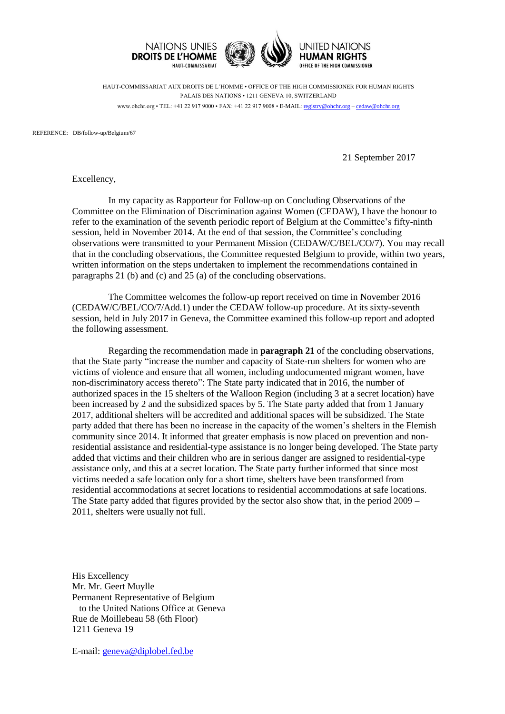

HAUT-COMMISSARIAT AUX DROITS DE L'HOMME • OFFICE OF THE HIGH COMMISSIONER FOR HUMAN RIGHTS PALAIS DES NATIONS • 1211 GENEVA 10, SWITZERLAND www.ohchr.org • TEL: +41 22 917 9000 • FAX: +41 22 917 9008 • E-MAIL: [registry@ohchr.org](mailto:registry@ohchr.org) – [cedaw@ohchr.org](mailto:cedaw@ohchr.org)

REFERENCE: DB/follow-up/Belgium/67

21 September 2017

Excellency,

In my capacity as Rapporteur for Follow-up on Concluding Observations of the Committee on the Elimination of Discrimination against Women (CEDAW), I have the honour to refer to the examination of the seventh periodic report of Belgium at the Committee's fifty-ninth session, held in November 2014. At the end of that session, the Committee's concluding observations were transmitted to your Permanent Mission (CEDAW/C/BEL/CO/7). You may recall that in the concluding observations, the Committee requested Belgium to provide, within two years, written information on the steps undertaken to implement the recommendations contained in paragraphs 21 (b) and (c) and 25 (a) of the concluding observations.

The Committee welcomes the follow-up report received on time in November 2016 (CEDAW/C/BEL/CO/7/Add.1) under the CEDAW follow-up procedure. At its sixty-seventh session, held in July 2017 in Geneva, the Committee examined this follow-up report and adopted the following assessment.

Regarding the recommendation made in **paragraph 21** of the concluding observations, that the State party "increase the number and capacity of State-run shelters for women who are victims of violence and ensure that all women, including undocumented migrant women, have non-discriminatory access thereto": The State party indicated that in 2016, the number of authorized spaces in the 15 shelters of the Walloon Region (including 3 at a secret location) have been increased by 2 and the subsidized spaces by 5. The State party added that from 1 January 2017, additional shelters will be accredited and additional spaces will be subsidized. The State party added that there has been no increase in the capacity of the women's shelters in the Flemish community since 2014. It informed that greater emphasis is now placed on prevention and nonresidential assistance and residential-type assistance is no longer being developed. The State party added that victims and their children who are in serious danger are assigned to residential-type assistance only, and this at a secret location. The State party further informed that since most victims needed a safe location only for a short time, shelters have been transformed from residential accommodations at secret locations to residential accommodations at safe locations. The State party added that figures provided by the sector also show that, in the period 2009 – 2011, shelters were usually not full.

His Excellency Mr. Mr. Geert Muylle Permanent Representative of Belgium to the United Nations Office at Geneva Rue de Moillebeau 58 (6th Floor) 1211 Geneva 19

E-mail: [geneva@diplobel.fed.be](mailto:geneva@diplobel.fed.be)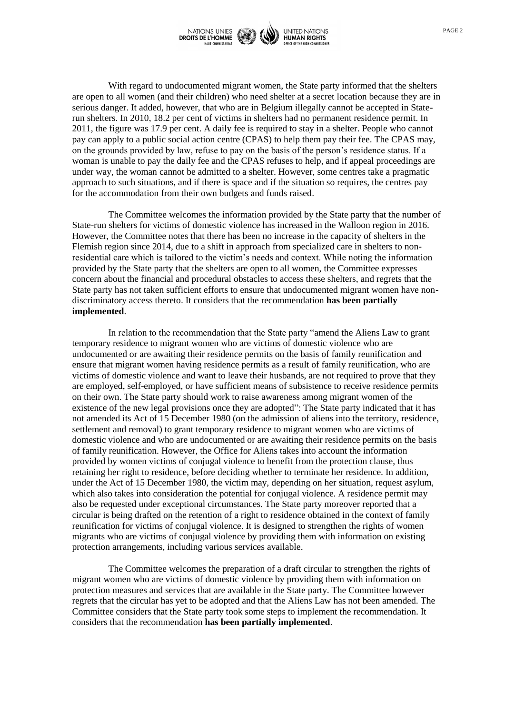

With regard to undocumented migrant women, the State party informed that the shelters are open to all women (and their children) who need shelter at a secret location because they are in serious danger. It added, however, that who are in Belgium illegally cannot be accepted in Staterun shelters. In 2010, 18.2 per cent of victims in shelters had no permanent residence permit. In 2011, the figure was 17.9 per cent. A daily fee is required to stay in a shelter. People who cannot pay can apply to a public social action centre (CPAS) to help them pay their fee. The CPAS may, on the grounds provided by law, refuse to pay on the basis of the person's residence status. If a woman is unable to pay the daily fee and the CPAS refuses to help, and if appeal proceedings are under way, the woman cannot be admitted to a shelter. However, some centres take a pragmatic approach to such situations, and if there is space and if the situation so requires, the centres pay for the accommodation from their own budgets and funds raised.

The Committee welcomes the information provided by the State party that the number of State-run shelters for victims of domestic violence has increased in the Walloon region in 2016. However, the Committee notes that there has been no increase in the capacity of shelters in the Flemish region since 2014, due to a shift in approach from specialized care in shelters to nonresidential care which is tailored to the victim's needs and context. While noting the information provided by the State party that the shelters are open to all women, the Committee expresses concern about the financial and procedural obstacles to access these shelters, and regrets that the State party has not taken sufficient efforts to ensure that undocumented migrant women have nondiscriminatory access thereto. It considers that the recommendation **has been partially implemented**.

In relation to the recommendation that the State party "amend the Aliens Law to grant temporary residence to migrant women who are victims of domestic violence who are undocumented or are awaiting their residence permits on the basis of family reunification and ensure that migrant women having residence permits as a result of family reunification, who are victims of domestic violence and want to leave their husbands, are not required to prove that they are employed, self-employed, or have sufficient means of subsistence to receive residence permits on their own. The State party should work to raise awareness among migrant women of the existence of the new legal provisions once they are adopted": The State party indicated that it has not amended its Act of 15 December 1980 (on the admission of aliens into the territory, residence, settlement and removal) to grant temporary residence to migrant women who are victims of domestic violence and who are undocumented or are awaiting their residence permits on the basis of family reunification. However, the Office for Aliens takes into account the information provided by women victims of conjugal violence to benefit from the protection clause, thus retaining her right to residence, before deciding whether to terminate her residence. In addition, under the Act of 15 December 1980, the victim may, depending on her situation, request asylum, which also takes into consideration the potential for conjugal violence. A residence permit may also be requested under exceptional circumstances. The State party moreover reported that a circular is being drafted on the retention of a right to residence obtained in the context of family reunification for victims of conjugal violence. It is designed to strengthen the rights of women migrants who are victims of conjugal violence by providing them with information on existing protection arrangements, including various services available.

The Committee welcomes the preparation of a draft circular to strengthen the rights of migrant women who are victims of domestic violence by providing them with information on protection measures and services that are available in the State party. The Committee however regrets that the circular has yet to be adopted and that the Aliens Law has not been amended. The Committee considers that the State party took some steps to implement the recommendation. It considers that the recommendation **has been partially implemented**.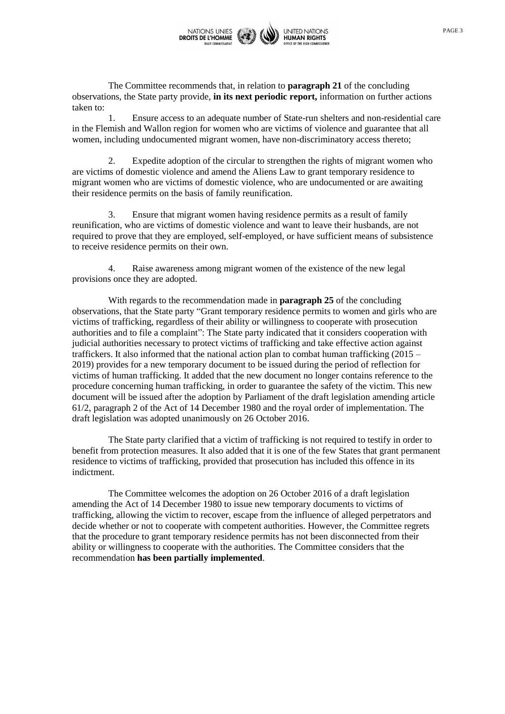

The Committee recommends that, in relation to **paragraph 21** of the concluding observations, the State party provide, **in its next periodic report,** information on further actions taken to:

1. Ensure access to an adequate number of State-run shelters and non-residential care in the Flemish and Wallon region for women who are victims of violence and guarantee that all women, including undocumented migrant women, have non-discriminatory access thereto;

2. Expedite adoption of the circular to strengthen the rights of migrant women who are victims of domestic violence and amend the Aliens Law to grant temporary residence to migrant women who are victims of domestic violence, who are undocumented or are awaiting their residence permits on the basis of family reunification.

3. Ensure that migrant women having residence permits as a result of family reunification, who are victims of domestic violence and want to leave their husbands, are not required to prove that they are employed, self-employed, or have sufficient means of subsistence to receive residence permits on their own.

4. Raise awareness among migrant women of the existence of the new legal provisions once they are adopted.

With regards to the recommendation made in **paragraph 25** of the concluding observations, that the State party "Grant temporary residence permits to women and girls who are victims of trafficking, regardless of their ability or willingness to cooperate with prosecution authorities and to file a complaint": The State party indicated that it considers cooperation with judicial authorities necessary to protect victims of trafficking and take effective action against traffickers. It also informed that the national action plan to combat human trafficking  $(2015 -$ 2019) provides for a new temporary document to be issued during the period of reflection for victims of human trafficking. It added that the new document no longer contains reference to the procedure concerning human trafficking, in order to guarantee the safety of the victim. This new document will be issued after the adoption by Parliament of the draft legislation amending article 61/2, paragraph 2 of the Act of 14 December 1980 and the royal order of implementation. The draft legislation was adopted unanimously on 26 October 2016.

The State party clarified that a victim of trafficking is not required to testify in order to benefit from protection measures. It also added that it is one of the few States that grant permanent residence to victims of trafficking, provided that prosecution has included this offence in its indictment.

The Committee welcomes the adoption on 26 October 2016 of a draft legislation amending the Act of 14 December 1980 to issue new temporary documents to victims of trafficking, allowing the victim to recover, escape from the influence of alleged perpetrators and decide whether or not to cooperate with competent authorities. However, the Committee regrets that the procedure to grant temporary residence permits has not been disconnected from their ability or willingness to cooperate with the authorities. The Committee considers that the recommendation **has been partially implemented**.